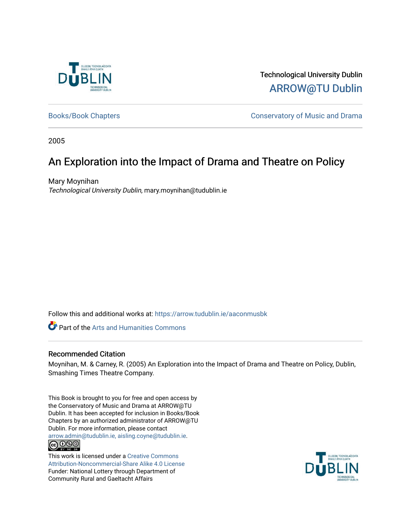

Technological University Dublin [ARROW@TU Dublin](https://arrow.tudublin.ie/) 

[Books/Book Chapters](https://arrow.tudublin.ie/aaconmusbk) **Conservatory of Music and Drama** 

2005

### An Exploration into the Impact of Drama and Theatre on Policy

Mary Moynihan Technological University Dublin, mary.moynihan@tudublin.ie

Follow this and additional works at: [https://arrow.tudublin.ie/aaconmusbk](https://arrow.tudublin.ie/aaconmusbk?utm_source=arrow.tudublin.ie%2Faaconmusbk%2F9&utm_medium=PDF&utm_campaign=PDFCoverPages)

*C* Part of the Arts and Humanities Commons

#### Recommended Citation

Moynihan, M. & Carney, R. (2005) An Exploration into the Impact of Drama and Theatre on Policy, Dublin, Smashing Times Theatre Company.

This Book is brought to you for free and open access by the Conservatory of Music and Drama at ARROW@TU Dublin. It has been accepted for inclusion in Books/Book Chapters by an authorized administrator of ARROW@TU Dublin. For more information, please contact [arrow.admin@tudublin.ie, aisling.coyne@tudublin.ie](mailto:arrow.admin@tudublin.ie,%20aisling.coyne@tudublin.ie). <u>@ 0®0</u>

This work is licensed under a [Creative Commons](http://creativecommons.org/licenses/by-nc-sa/4.0/) [Attribution-Noncommercial-Share Alike 4.0 License](http://creativecommons.org/licenses/by-nc-sa/4.0/) Funder: National Lottery through Department of Community Rural and Gaeltacht Affairs

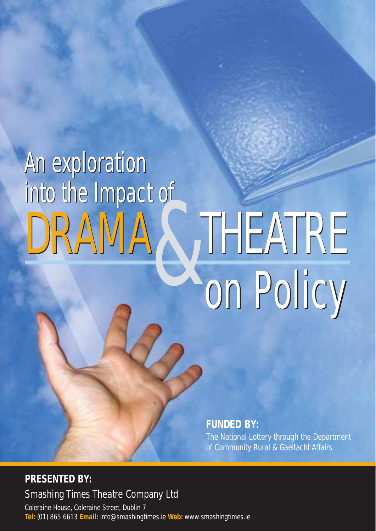# An exploration An exploration into the Impact of **& THEATRE** DRAMA 2, THEATRE

**FUNDED BY:**

The National Lottery through the Department of Community Rural & Gaeltacht Affairs

**PRESENTED BY:** Smashing Times Theatre Company Ltd

Coleraine House, Coleraine Street, Dublin 7 **Tel:** (01) 865 6613 **Email:** info@smashingtimes.ie **Web:** www.smashingtimes.ie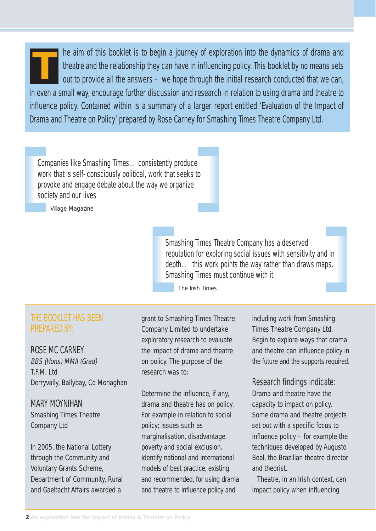he aim of this booklet is to begin a journey of exploration into the dynamics of drama and theatre and the relationship they can have in influencing policy. This booklet by no means sets out to provide all the answers – we hope through the initial research conducted that we can, in even a small way, encourage further discussion and research in relation to using drama and theatre to influence policy. Contained within is a summary of a larger report entitled 'Evaluation of the Impact of Drama and Theatre on Policy' prepared by Rose Carney for Smashing Times Theatre Company Ltd. **T**

Companies like Smashing Times…consistently produce work that is self-consciously political, work that seeks to provoke and engage debate about the way we organize society and our lives

*Village Magazine*

Smashing Times Theatre Company has a deserved reputation for exploring social issues with sensitivity and in depth... this work points the way rather than draws maps. Smashing Times must continue with it

*The Irish Times*

#### THE BOOKLET HAS BEEN PREPARED BY:

#### ROSE MC CARNEY

BBS (Hons) MMII (Grad) T.F.M. Ltd Derryvally, Ballybay, Co Monaghan

#### MARY MOYNIHAN

Smashing Times Theatre Company Ltd

In 2005, the National Lottery through the Community and Voluntary Grants Scheme, Department of Community, Rural and Gaeltacht Affairs awarded a

grant to Smashing Times Theatre Company Limited to undertake exploratory research to evaluate the impact of drama and theatre on policy. The purpose of the research was to:

Determine the influence, if any, drama and theatre has on policy. For example in relation to social policy; issues such as marginalisation, disadvantage, poverty and social exclusion. Identify national and international models of best practice, existing and recommended, for using drama and theatre to influence policy and

including work from Smashing Times Theatre Company Ltd. Begin to explore ways that drama and theatre can influence policy in the future and the supports required.

#### Research findings indicate:

Drama and theatre have the capacity to impact on policy. Some drama and theatre projects set out with a specific focus to influence policy – for example the techniques developed by Augusto Boal, the Brazilian theatre director and theorist.

Theatre, in an Irish context, can impact policy when influencing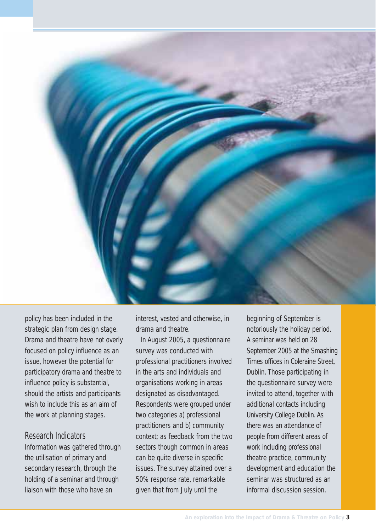

policy has been included in the strategic plan from design stage. Drama and theatre have not overly focused on policy influence as an issue, however the potential for participatory drama and theatre to influence policy is substantial, should the artists and participants wish to include this as an aim of the work at planning stages.

#### Research Indicators

Information was gathered through the utilisation of primary and secondary research, through the holding of a seminar and through liaison with those who have an

interest, vested and otherwise, in drama and theatre.

In August 2005, a questionnaire survey was conducted with professional practitioners involved in the arts and individuals and organisations working in areas designated as disadvantaged. Respondents were grouped under two categories a) professional practitioners and b) community context; as feedback from the two sectors though common in areas can be quite diverse in specific issues. The survey attained over a 50% response rate, remarkable given that from July until the

beginning of September is notoriously the holiday period. A seminar was held on 28 September 2005 at the Smashing Times offices in Coleraine Street, Dublin. Those participating in the questionnaire survey were invited to attend, together with additional contacts including University College Dublin. As there was an attendance of people from different areas of work including professional theatre practice, community development and education the seminar was structured as an informal discussion session.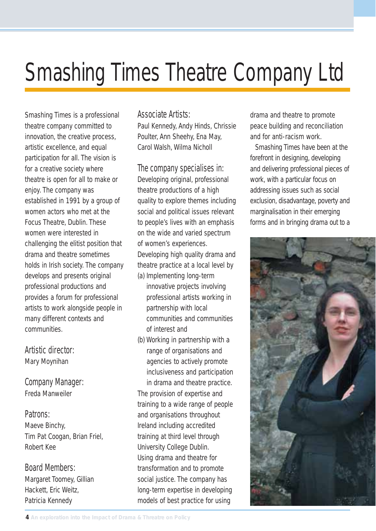### Smashing Times Theatre Company Ltd

Smashing Times is a professional theatre company committed to innovation, the creative process, artistic excellence, and equal participation for all. The vision is for a creative society where theatre is open for all to make or enjoy. The company was established in 1991 by a group of women actors who met at the Focus Theatre, Dublin. These women were interested in challenging the elitist position that drama and theatre sometimes holds in Irish society. The company develops and presents original professional productions and provides a forum for professional artists to work alongside people in many different contexts and communities.

#### Artistic director:

Mary Moynihan

#### Company Manager:

Freda Manweiler

#### Patrons:

Maeve Binchy, Tim Pat Coogan, Brian Friel, Robert Kee

#### Board Members:

Margaret Toomey, Gillian Hackett, Eric Weitz, Patricia Kennedy

#### Associate Artists:

Paul Kennedy, Andy Hinds, Chrissie Poulter, Ann Sheehy, Ena May, Carol Walsh, Wilma Nicholl

#### The company specialises in:

Developing original, professional theatre productions of a high quality to explore themes including social and political issues relevant to people's lives with an emphasis on the wide and varied spectrum of women's experiences. Developing high quality drama and theatre practice at a local level by (a) Implementing long-term

- innovative projects involving professional artists working in partnership with local communities and communities of interest and
- (b) Working in partnership with a range of organisations and agencies to actively promote inclusiveness and participation in drama and theatre practice. The provision of expertise and training to a wide range of people and organisations throughout Ireland including accredited training at third level through University College Dublin. Using drama and theatre for transformation and to promote social justice. The company has long-term expertise in developing models of best practice for using

drama and theatre to promote peace building and reconciliation and for anti-racism work.

Smashing Times have been at the forefront in designing, developing and delivering professional pieces of work, with a particular focus on addressing issues such as social exclusion, disadvantage, poverty and marginalisation in their emerging forms and in bringing drama out to a

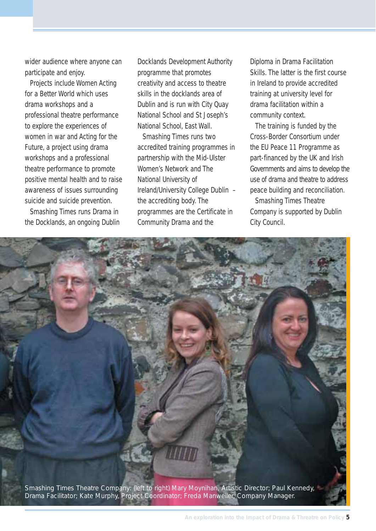wider audience where anyone can participate and enjoy.

Projects include Women Acting for a Better World which uses drama workshops and a professional theatre performance to explore the experiences of women in war and Acting for the Future, a project using drama workshops and a professional theatre performance to promote positive mental health and to raise awareness of issues surrounding suicide and suicide prevention.

Smashing Times runs Drama in the Docklands, an ongoing Dublin

Docklands Development Authority programme that promotes creativity and access to theatre skills in the docklands area of Dublin and is run with City Quay National School and St Joseph's National School, East Wall.

Smashing Times runs two accredited training programmes in partnership with the Mid-Ulster Women's Network and The National University of Ireland/University College Dublin – the accrediting body. The programmes are the Certificate in Community Drama and the

Diploma in Drama Facilitation Skills. The latter is the first course in Ireland to provide accredited training at university level for drama facilitation within a community context.

The training is funded by the Cross-Border Consortium under the EU Peace 11 Programme as part-financed by the UK and Irish Governments and aims to develop the use of drama and theatre to address peace building and reconciliation.

Smashing Times Theatre Company is supported by Dublin City Council.

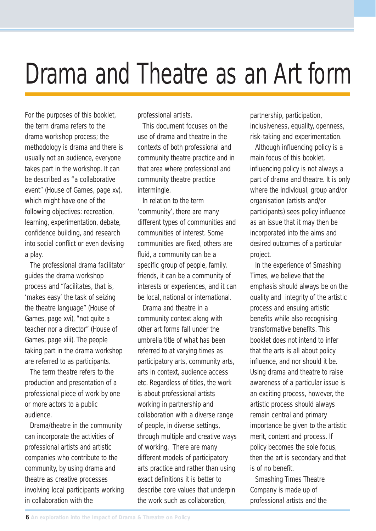## Drama and Theatre as an Art form

For the purposes of this booklet, the term drama refers to the drama workshop process; the methodology is drama and there is usually not an audience, everyone takes part in the workshop. It can be described as "a collaborative event" (House of Games, page xv), which might have one of the following objectives: recreation, learning, experimentation, debate, confidence building, and research into social conflict or even devising a play.

The professional drama facilitator guides the drama workshop process and "facilitates, that is, 'makes easy' the task of seizing the theatre language" (House of Games, page xvi), "not quite a teacher nor a director" (House of Games, page xiii). The people taking part in the drama workshop are referred to as participants.

The term theatre refers to the production and presentation of a professional piece of work by one or more actors to a public audience.

Drama/theatre in the community can incorporate the activities of professional artists and artistic companies who contribute to the community, by using drama and theatre as creative processes involving local participants working in collaboration with the

professional artists.

This document focuses on the use of drama and theatre in the contexts of both professional and community theatre practice and in that area where professional and community theatre practice intermingle.

In relation to the term 'community', there are many different types of communities and communities of interest. Some communities are fixed, others are fluid, a community can be a specific group of people, family, friends, it can be a community of interests or experiences, and it can be local, national or international.

Drama and theatre in a community context along with other art forms fall under the umbrella title of what has been referred to at varying times as participatory arts, community arts, arts in context, audience access etc. Regardless of titles, the work is about professional artists working in partnership and collaboration with a diverse range of people, in diverse settings, through multiple and creative ways of working. There are many different models of participatory arts practice and rather than using exact definitions it is better to describe core values that underpin the work such as collaboration,

partnership, participation, inclusiveness, equality, openness, risk-taking and experimentation.

Although influencing policy is a main focus of this booklet, influencing policy is not always a part of drama and theatre. It is only where the individual, group and/or organisation (artists and/or participants) sees policy influence as an issue that it may then be incorporated into the aims and desired outcomes of a particular project.

In the experience of Smashing Times, we believe that the emphasis should always be on the quality and integrity of the artistic process and ensuing artistic benefits while also recognising transformative benefits. This booklet does not intend to infer that the arts is all about policy influence, and nor should it be. Using drama and theatre to raise awareness of a particular issue is an exciting process, however, the artistic process should always remain central and primary importance be given to the artistic merit, content and process. If policy becomes the sole focus, then the art is secondary and that is of no benefit.

Smashing Times Theatre Company is made up of professional artists and the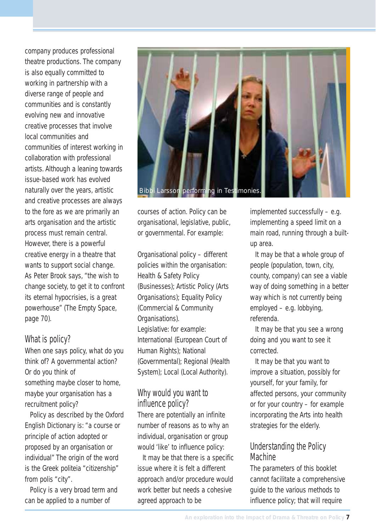company produces professional theatre productions. The company is also equally committed to working in partnership with a diverse range of people and communities and is constantly evolving new and innovative creative processes that involve local communities and communities of interest working in collaboration with professional artists. Although a leaning towards issue-based work has evolved naturally over the years, artistic and creative processes are always to the fore as we are primarily an arts organisation and the artistic process must remain central. However, there is a powerful creative energy in a theatre that wants to support social change. As Peter Brook says, "the wish to change society, to get it to confront its eternal hypocrisies, is a great powerhouse" (The Empty Space, page 70).

#### What is policy?

When one says policy, what do you think of? A governmental action? Or do you think of something maybe closer to home, maybe your organisation has a recruitment policy?

Policy as described by the Oxford English Dictionary is: "a course or principle of action adopted or proposed by an organisation or individual" The origin of the word is the Greek politeia "citizenship" from polis "city".

Policy is a very broad term and can be applied to a number of



courses of action. Policy can be organisational, legislative, public, or governmental. For example:

Organisational policy – different policies within the organisation: Health & Safety Policy (Businesses); Artistic Policy (Arts Organisations): Equality Policy (Commercial & Community Organisations). Legislative: for example: International (European Court of Human Rights); National (Governmental); Regional (Health System); Local (Local Authority).

#### Why would you want to influence policy?

There are potentially an infinite number of reasons as to why an individual, organisation or group would 'like' to influence policy:

It may be that there is a specific issue where it is felt a different approach and/or procedure would work better but needs a cohesive agreed approach to be

implemented successfully – e.g. implementing a speed limit on a main road, running through a builtup area.

It may be that a whole group of people (population, town, city, county, company) can see a viable way of doing something in a better way which is not currently being employed – e.g. lobbying, referenda.

It may be that you see a wrong doing and you want to see it corrected.

It may be that you want to improve a situation, possibly for yourself, for your family, for affected persons, your community or for your country – for example incorporating the Arts into health strategies for the elderly.

#### Understanding the Policy Machine

The parameters of this booklet cannot facilitate a comprehensive guide to the various methods to influence policy; that will require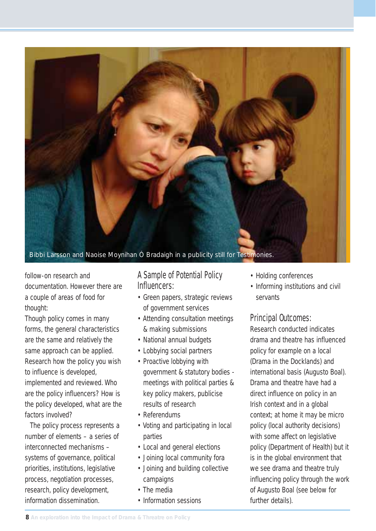

follow-on research and documentation. However there are a couple of areas of food for thought:

Though policy comes in many forms, the general characteristics are the same and relatively the same approach can be applied. Research how the policy you wish to influence is developed, implemented and reviewed. Who are the policy influencers? How is the policy developed, what are the factors involved?

The policy process represents a number of elements – a series of interconnected mechanisms – systems of governance, political priorities, institutions, legislative process, negotiation processes, research, policy development, information dissemination.

#### A Sample of Potential Policy Influencers:

- Green papers, strategic reviews of government services
- Attending consultation meetings & making submissions
- National annual budgets
- Lobbying social partners
- Proactive lobbying with government & statutory bodies meetings with political parties & key policy makers, publicise results of research
- Referendums
- Voting and participating in local parties
- Local and general elections
- Joining local community fora
- Joining and building collective campaigns
- The media
- Information sessions
- Holding conferences
- Informing institutions and civil servants

#### Principal Outcomes:

Research conducted indicates drama and theatre has influenced policy for example on a local (Drama in the Docklands) and international basis (Augusto Boal). Drama and theatre have had a direct influence on policy in an Irish context and in a global context; at home it may be micro policy (local authority decisions) with some affect on legislative policy (Department of Health) but it is in the global environment that we see drama and theatre truly influencing policy through the work of Augusto Boal (see below for further details).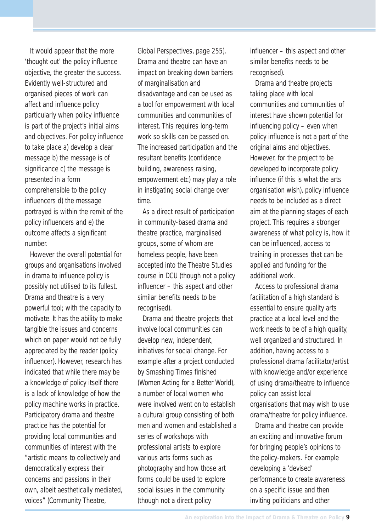It would appear that the more 'thought out' the policy influence objective, the greater the success. Evidently well-structured and organised pieces of work can affect and influence policy particularly when policy influence is part of the project's initial aims and objectives. For policy influence to take place a) develop a clear message b) the message is of significance c) the message is presented in a form comprehensible to the policy influencers d) the message portrayed is within the remit of the policy influencers and e) the outcome affects a significant number.

However the overall potential for groups and organisations involved in drama to influence policy is possibly not utilised to its fullest. Drama and theatre is a very powerful tool; with the capacity to motivate. It has the ability to make tangible the issues and concerns which on paper would not be fully appreciated by the reader (policy influencer). However, research has indicated that while there may be a knowledge of policy itself there is a lack of knowledge of how the policy machine works in practice. Participatory drama and theatre practice has the potential for providing local communities and communities of interest with the "artistic means to collectively and democratically express their concerns and passions in their own, albeit aesthetically mediated, voices" (Community Theatre,

Global Perspectives, page 255). Drama and theatre can have an impact on breaking down barriers of marginalisation and disadvantage and can be used as a tool for empowerment with local communities and communities of interest. This requires long-term work so skills can be passed on. The increased participation and the resultant benefits (confidence building, awareness raising, empowerment etc) may play a role in instigating social change over time.

As a direct result of participation in community-based drama and theatre practice, marginalised groups, some of whom are homeless people, have been accepted into the Theatre Studies course in DCU (though not a policy influencer – this aspect and other similar benefits needs to be recognised).

Drama and theatre projects that involve local communities can develop new, independent, initiatives for social change. For example after a project conducted by Smashing Times finished (Women Acting for a Better World), a number of local women who were involved went on to establish a cultural group consisting of both men and women and established a series of workshops with professional artists to explore various arts forms such as photography and how those art forms could be used to explore social issues in the community (though not a direct policy

influencer – this aspect and other similar benefits needs to be recognised).

Drama and theatre projects taking place with local communities and communities of interest have shown potential for influencing policy – even when policy influence is not a part of the original aims and objectives. However, for the project to be developed to incorporate policy influence (if this is what the arts organisation wish), policy influence needs to be included as a direct aim at the planning stages of each project. This requires a stronger awareness of what policy is, how it can be influenced, access to training in processes that can be applied and funding for the additional work.

Access to professional drama facilitation of a high standard is essential to ensure quality arts practice at a local level and the work needs to be of a high quality. well organized and structured. In addition, having access to a professional drama facilitator/artist with knowledge and/or experience of using drama/theatre to influence policy can assist local organisations that may wish to use drama/theatre for policy influence.

Drama and theatre can provide an exciting and innovative forum for bringing people's opinions to the policy-makers. For example developing a 'devised' performance to create awareness on a specific issue and then inviting politicians and other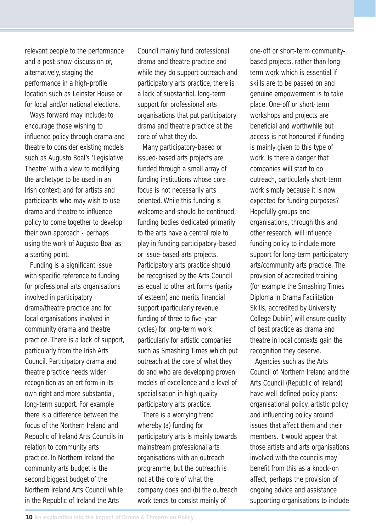relevant people to the performance and a post-show discussion or, alternatively, staging the performance in a high-profile location such as Leinster House or for local and/or national elections.

Ways forward may include: to encourage those wishing to influence policy through drama and theatre to consider existing models such as Augusto Boal's 'Legislative Theatre' with a view to modifying the archetype to be used in an Irish context; and for artists and participants who may wish to use drama and theatre to influence policy to come together to develop their own approach - perhaps using the work of Augusto Boal as a starting point.

Funding is a significant issue with specific reference to funding for professional arts organisations involved in participatory drama/theatre practice and for local organisations involved in community drama and theatre practice. There is a lack of support, particularly from the Irish Arts Council. Participatory drama and theatre practice needs wider recognition as an art form in its own right and more substantial, long-term support. For example there is a difference between the focus of the Northern Ireland and Republic of Ireland Arts Councils in relation to community arts practice. In Northern Ireland the community arts budget is the second biggest budget of the Northern Ireland Arts Council while in the Republic of Ireland the Arts

Council mainly fund professional drama and theatre practice and while they do support outreach and participatory arts practice, there is a lack of substantial, long-term support for professional arts organisations that put participatory drama and theatre practice at the core of what they do.

Many participatory-based or issued-based arts projects are funded through a small array of funding institutions whose core focus is not necessarily arts oriented. While this funding is welcome and should be continued, funding bodies dedicated primarily to the arts have a central role to play in funding participatory-based or issue-based arts projects. Participatory arts practice should be recognised by the Arts Council as equal to other art forms (parity of esteem) and merits financial support (particularly revenue funding of three to five-year cycles) for long-term work particularly for artistic companies such as Smashing Times which put outreach at the core of what they do and who are developing proven models of excellence and a level of specialisation in high quality participatory arts practice.

There is a worrying trend whereby (a) funding for participatory arts is mainly towards mainstream professional arts organisations with an outreach programme, but the outreach is not at the core of what the company does and (b) the outreach work tends to consist mainly of

one-off or short-term communitybased projects, rather than longterm work which is essential if skills are to be passed on and genuine empowerment is to take place. One-off or short-term workshops and projects are beneficial and worthwhile but access is not honoured if funding is mainly given to this type of work. Is there a danger that companies will start to do outreach, particularly short-term work simply because it is now expected for funding purposes? Hopefully groups and organisations, through this and other research, will influence funding policy to include more support for long-term participatory arts/community arts practice. The provision of accredited training (for example the Smashing Times Diploma in Drama Facilitation Skills, accredited by University College Dublin) will ensure quality of best practice as drama and theatre in local contexts gain the recognition they deserve.

Agencies such as the Arts Council of Northern Ireland and the Arts Council (Republic of Ireland) have well-defined policy plans: organisational policy, artistic policy and influencing policy around issues that affect them and their members. It would appear that those artists and arts organisations involved with the councils may benefit from this as a knock-on affect, perhaps the provision of ongoing advice and assistance supporting organisations to include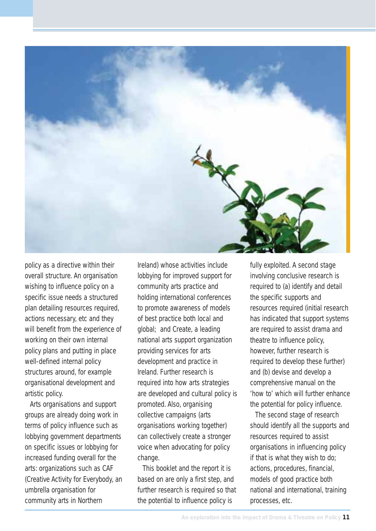

policy as a directive within their overall structure. An organisation wishing to influence policy on a specific issue needs a structured plan detailing resources required, actions necessary, etc and they will benefit from the experience of working on their own internal policy plans and putting in place well-defined internal policy structures around, for example organisational development and artistic policy.

Arts organisations and support groups are already doing work in terms of policy influence such as lobbying government departments on specific issues or lobbying for increased funding overall for the arts: organizations such as CAF (Creative Activity for Everybody, an umbrella organisation for community arts in Northern

Ireland) whose activities include lobbying for improved support for community arts practice and holding international conferences to promote awareness of models of best practice both local and global; and Create, a leading national arts support organization providing services for arts development and practice in Ireland. Further research is required into how arts strategies are developed and cultural policy is promoted. Also, organising collective campaigns (arts organisations working together) can collectively create a stronger voice when advocating for policy change.

This booklet and the report it is based on are only a first step, and further research is required so that the potential to influence policy is

fully exploited. A second stage involving conclusive research is required to (a) identify and detail the specific supports and resources required (initial research has indicated that support systems are required to assist drama and theatre to influence policy, however, further research is required to develop these further) and (b) devise and develop a comprehensive manual on the 'how to' which will further enhance the potential for policy influence.

The second stage of research should identify all the supports and resources required to assist organisations in influencing policy if that is what they wish to do; actions, procedures, financial, models of good practice both national and international, training processes, etc.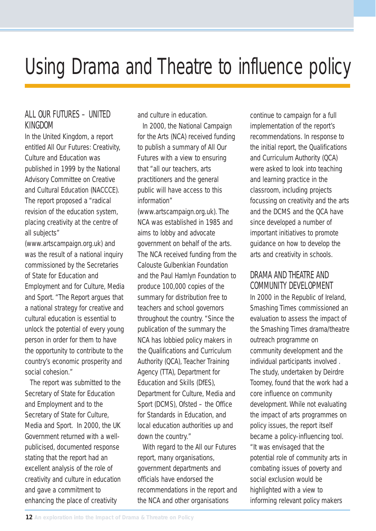### Using Drama and Theatre to influence policy

#### ALL OUR FUTURES – UNITED KINGDOM

In the United Kingdom, a report entitled All Our Futures: Creativity, Culture and Education was published in 1999 by the National Advisory Committee on Creative and Cultural Education (NACCCE). The report proposed a "radical revision of the education system, placing creativity at the centre of all subjects"

(www.artscampaign.org.uk) and was the result of a national inquiry commissioned by the Secretaries of State for Education and Employment and for Culture, Media and Sport. "The Report argues that a national strategy for creative and cultural education is essential to unlock the potential of every young person in order for them to have the opportunity to contribute to the country's economic prosperity and social cohesion."

The report was submitted to the Secretary of State for Education and Employment and to the Secretary of State for Culture, Media and Sport. In 2000, the UK Government returned with a wellpublicised, documented response stating that the report had an excellent analysis of the role of creativity and culture in education and gave a commitment to enhancing the place of creativity

and culture in education.

In 2000, the National Campaign for the Arts (NCA) received funding to publish a summary of All Our Futures with a view to ensuring that "all our teachers, arts practitioners and the general public will have access to this information"

(www.artscampaign.org.uk). The NCA was established in 1985 and aims to lobby and advocate government on behalf of the arts. The NCA received funding from the Calouste Gulbenkian Foundation and the Paul Hamlyn Foundation to produce 100,000 copies of the summary for distribution free to teachers and school governors throughout the country. "Since the publication of the summary the NCA has lobbied policy makers in the Qualifications and Curriculum Authority (QCA), Teacher Training Agency (TTA), Department for Education and Skills (DfES), Department for Culture, Media and Sport (DCMS), Ofsted – the Office for Standards in Education, and local education authorities up and down the country."

With regard to the All our Futures report, many organisations, government departments and officials have endorsed the recommendations in the report and the NCA and other organisations

continue to campaign for a full implementation of the report's recommendations. In response to the initial report, the Qualifications and Curriculum Authority (QCA) were asked to look into teaching and learning practice in the classroom, including projects focussing on creativity and the arts and the DCMS and the QCA have since developed a number of important initiatives to promote guidance on how to develop the arts and creativity in schools.

#### DRAMA AND THEATRE AND COMMUNITY DEVELOPMENT

In 2000 in the Republic of Ireland, Smashing Times commissioned an evaluation to assess the impact of the Smashing Times drama/theatre outreach programme on community development and the individual participants involved . The study, undertaken by Deirdre Toomey, found that the work had a core influence on community development. While not evaluating the impact of arts programmes on policy issues, the report itself became a policy-influencing tool. "It was envisaged that the potential role of community arts in combating issues of poverty and social exclusion would be highlighted with a view to informing relevant policy makers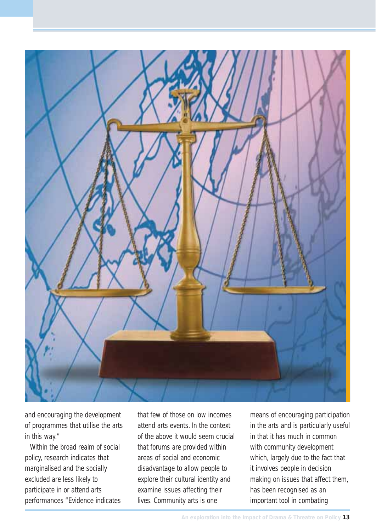

and encouraging the development of programmes that utilise the arts in this way."

Within the broad realm of social policy, research indicates that marginalised and the socially excluded are less likely to participate in or attend arts performances "Evidence indicates that few of those on low incomes attend arts events. In the context of the above it would seem crucial that forums are provided within areas of social and economic disadvantage to allow people to explore their cultural identity and examine issues affecting their lives. Community arts is one

means of encouraging participation in the arts and is particularly useful in that it has much in common with community development which, largely due to the fact that it involves people in decision making on issues that affect them, has been recognised as an important tool in combating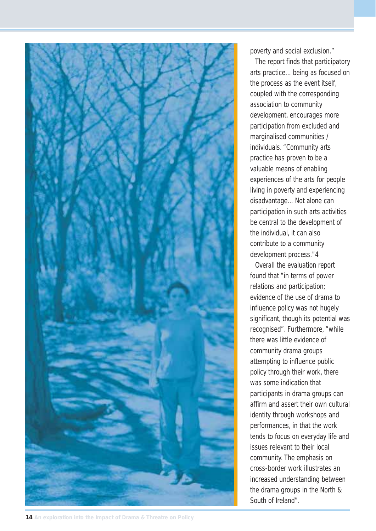

poverty and social exclusion."

The report finds that participatory arts practice…being as focused on the process as the event itself, coupled with the corresponding association to community development, encourages more participation from excluded and marginalised communities / individuals. "Community arts practice has proven to be a valuable means of enabling experiences of the arts for people living in poverty and experiencing disadvantage…Not alone can participation in such arts activities be central to the development of the individual, it can also contribute to a community development process."4

Overall the evaluation report found that "in terms of power relations and participation; evidence of the use of drama to influence policy was not hugely significant, though its potential was recognised". Furthermore, "while there was little evidence of community drama groups attempting to influence public policy through their work, there was some indication that participants in drama groups can affirm and assert their own cultural identity through workshops and performances, in that the work tends to focus on everyday life and issues relevant to their local community. The emphasis on cross-border work illustrates an increased understanding between the drama groups in the North & South of Ireland".

**14 An exploration into the Impact of Drama & Threatre on Policy**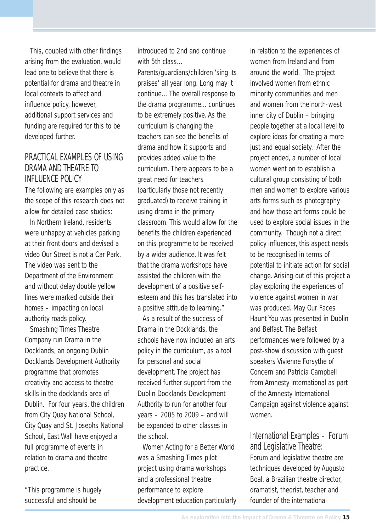This, coupled with other findings arising from the evaluation, would lead one to believe that there is potential for drama and theatre in local contexts to affect and influence policy, however, additional support services and funding are required for this to be developed further.

#### PRACTICAL EXAMPLES OF LISING DRAMA AND THEATRE TO INFLUENCE POLICY

The following are examples only as the scope of this research does not allow for detailed case studies:

In Northern Ireland, residents were unhappy at vehicles parking at their front doors and devised a video Our Street is not a Car Park. The video was sent to the Department of the Environment and without delay double yellow lines were marked outside their homes – impacting on local authority roads policy.

Smashing Times Theatre Company run Drama in the Docklands, an ongoing Dublin Docklands Development Authority programme that promotes creativity and access to theatre skills in the docklands area of Dublin. For four years, the children from City Quay National School, City Quay and St. Josephs National School, East Wall have enjoyed a full programme of events in relation to drama and theatre practice.

"This programme is hugely successful and should be

introduced to 2nd and continue with 5th class…

Parents/guardians/children 'sing its praises' all year long. Long may it continue…The overall response to the drama programme…continues to be extremely positive. As the curriculum is changing the teachers can see the benefits of drama and how it supports and provides added value to the curriculum. There appears to be a great need for teachers (particularly those not recently graduated) to receive training in using drama in the primary classroom. This would allow for the benefits the children experienced on this programme to be received by a wider audience. It was felt that the drama workshops have assisted the children with the development of a positive selfesteem and this has translated into a positive attitude to learning."

As a result of the success of Drama in the Docklands, the schools have now included an arts policy in the curriculum, as a tool for personal and social development. The project has received further support from the Dublin Docklands Development Authority to run for another four years – 2005 to 2009 – and will be expanded to other classes in the school.

Women Acting for a Better World was a Smashing Times pilot project using drama workshops and a professional theatre performance to explore development education particularly

in relation to the experiences of women from Ireland and from around the world. The project involved women from ethnic minority communities and men and women from the north-west inner city of Dublin – bringing people together at a local level to explore ideas for creating a more just and equal society. After the project ended, a number of local women went on to establish a cultural group consisting of both men and women to explore various arts forms such as photography and how those art forms could be used to explore social issues in the community. Though not a direct policy influencer, this aspect needs to be recognised in terms of potential to initiate action for social change. Arising out of this project a play exploring the experiences of violence against women in war was produced. May Our Faces Haunt You was presented in Dublin and Belfast. The Belfast performances were followed by a post-show discussion with guest speakers Vivienne Forsythe of Concern and Patricia Campbell from Amnesty International as part of the Amnesty International Campaign against violence against women.

#### International Examples – Forum and Legislative Theatre:

Forum and legislative theatre are techniques developed by Augusto Boal, a Brazilian theatre director, dramatist, theorist, teacher and founder of the international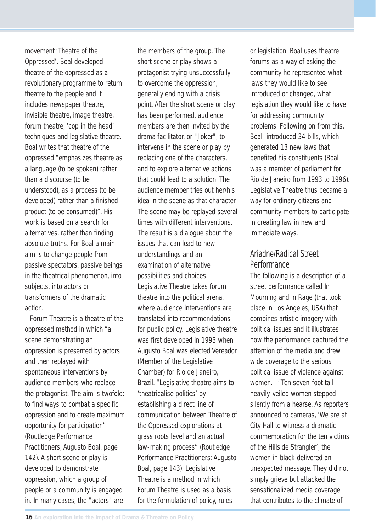movement 'Theatre of the Oppressed'. Boal developed theatre of the oppressed as a revolutionary programme to return theatre to the people and it includes newspaper theatre, invisible theatre, image theatre, forum theatre, 'cop in the head' techniques and legislative theatre. Boal writes that theatre of the oppressed "emphasizes theatre as a language (to be spoken) rather than a discourse (to be understood), as a process (to be developed) rather than a finished product (to be consumed)". His work is based on a search for alternatives, rather than finding absolute truths. For Boal a main aim is to change people from passive spectators, passive beings in the theatrical phenomenon, into subjects, into actors or transformers of the dramatic action.

Forum Theatre is a theatre of the oppressed method in which "a scene demonstrating an oppression is presented by actors and then replayed with spontaneous interventions by audience members who replace the protagonist. The aim is twofold: to find ways to combat a specific oppression and to create maximum opportunity for participation" (Routledge Performance Practitioners, Augusto Boal, page 142). A short scene or play is developed to demonstrate oppression, which a group of people or a community is engaged in. In many cases, the "actors" are

the members of the group. The short scene or play shows a protagonist trying unsuccessfully to overcome the oppression, generally ending with a crisis point. After the short scene or play has been performed, audience members are then invited by the drama facilitator, or "Joker", to intervene in the scene or play by replacing one of the characters, and to explore alternative actions that could lead to a solution. The audience member tries out her/his idea in the scene as that character. The scene may be replayed several times with different interventions. The result is a dialogue about the issues that can lead to new understandings and an examination of alternative possibilities and choices. Legislative Theatre takes forum theatre into the political arena, where audience interventions are translated into recommendations for public policy. Legislative theatre was first developed in 1993 when Augusto Boal was elected Vereador (Member of the Legislative Chamber) for Rio de Janeiro, Brazil. "Legislative theatre aims to 'theatricalise politics' by establishing a direct line of communication between Theatre of the Oppressed explorations at grass roots level and an actual law-making process'' (Routledge Performance Practitioners: Augusto Boal, page 143). Legislative Theatre is a method in which Forum Theatre is used as a basis for the formulation of policy, rules

or legislation. Boal uses theatre forums as a way of asking the community he represented what laws they would like to see introduced or changed, what legislation they would like to have for addressing community problems. Following on from this, Boal introduced 34 bills, which generated 13 new laws that benefited his constituents (Boal was a member of parliament for Rio de Janeiro from 1993 to 1996). Legislative Theatre thus became a way for ordinary citizens and community members to participate in creating law in new and immediate ways.

#### Ariadne/Radical Street **Performance**

The following is a description of a street performance called In Mourning and In Rage (that took place in Los Angeles, USA) that combines artistic imagery with political issues and it illustrates how the performance captured the attention of the media and drew wide coverage to the serious political issue of violence against women. "Ten seven-foot tall heavily-veiled women stepped silently from a hearse. As reporters announced to cameras, 'We are at City Hall to witness a dramatic commemoration for the ten victims of the Hillside Strangler', the women in black delivered an unexpected message. They did not simply grieve but attacked the sensationalized media coverage that contributes to the climate of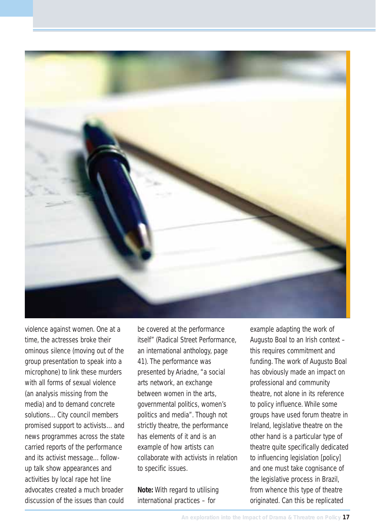

violence against women. One at a time, the actresses broke their ominous silence (moving out of the group presentation to speak into a microphone) to link these murders with all forms of sexual violence (an analysis missing from the media) and to demand concrete solutions…City council members promised support to activists…and news programmes across the state carried reports of the performance and its activist message…followup talk show appearances and activities by local rape hot line advocates created a much broader discussion of the issues than could

be covered at the performance itself" (Radical Street Performance, an international anthology, page 41). The performance was presented by Ariadne, "a social arts network, an exchange between women in the arts, governmental politics, women's politics and media". Though not strictly theatre, the performance has elements of it and is an example of how artists can collaborate with activists in relation to specific issues.

**Note:** With regard to utilising international practices – for

example adapting the work of Augusto Boal to an Irish context – this requires commitment and funding. The work of Augusto Boal has obviously made an impact on professional and community theatre, not alone in its reference to policy influence. While some groups have used forum theatre in Ireland, legislative theatre on the other hand is a particular type of theatre quite specifically dedicated to influencing legislation [policy] and one must take cognisance of the legislative process in Brazil, from whence this type of theatre originated. Can this be replicated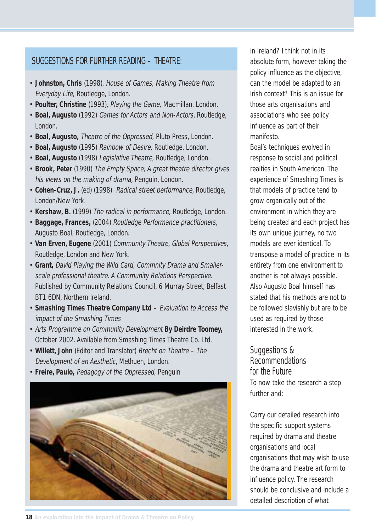#### SUGGESTIONS FOR FURTHER READING – THEATRE:

- **Johnston, Chris** (1998), House of Games, Making Theatre from Everyday Life, Routledge, London.
- **Poulter, Christine** (1993), Playing the Game, Macmillan, London.
- **Boal, Augusto** (1992) Games for Actors and Non-Actors, Routledge, London.
- **Boal, Augusto,** Theatre of the Oppressed, Pluto Press, London.
- **Boal, Augusto** (1995) Rainbow of Desire, Routledge, London.
- **Boal, Augusto** (1998) Legislative Theatre, Routledge, London.
- **Brook, Peter** (1990) The Empty Space; A great theatre director gives his views on the making of drama, Penguin, London.
- **Cohen-Cruz, J.** (ed) (1998) Radical street performance, Routledge, London/New York.
- **Kershaw, B.** (1999) The radical in performance, Routledge, London.
- **Baggage, Frances,** (2004) Routledge Performance practitioners, Augusto Boal, Routledge, London.
- **Van Erven, Eugene** (2001) Community Theatre, Global Perspectives, Routledge, London and New York.
- **Grant,** David Playing the Wild Card, Commnity Drama and Smallerscale professional theatre. A Community Relations Perspective. Published by Community Relations Council, 6 Murray Street, Belfast BT1 6DN, Northern Ireland.
- **Smashing Times Theatre Company Ltd** Evaluation to Access the impact of the Smashing Times
- Arts Programme on Community Development **By Deirdre Toomey,** October 2002. Available from Smashing Times Theatre Co. Ltd.
- **Willett, John** (Editor and Translator) Brecht on Theatre The Development of an Aesthetic, Methuen, London.
- **Freire, Paulo,** Pedagogy of the Oppressed, Penguin



in Ireland? I think not in its absolute form, however taking the policy influence as the objective, can the model be adapted to an Irish context? This is an issue for those arts organisations and associations who see policy influence as part of their manifesto.

Boal's techniques evolved in response to social and political realties in South American. The experience of Smashing Times is that models of practice tend to grow organically out of the environment in which they are being created and each project has its own unique journey, no two models are ever identical. To transpose a model of practice in its entirety from one environment to another is not always possible. Also Augusto Boal himself has stated that his methods are not to be followed slavishly but are to be used as required by those interested in the work.

#### Suggestions & **Recommendations** for the Future

To now take the research a step further and:

Carry our detailed research into the specific support systems required by drama and theatre organisations and local organisations that may wish to use the drama and theatre art form to influence policy. The research should be conclusive and include a detailed description of what

**18 An exploration into the Impact of Drama & Threatre on Policy**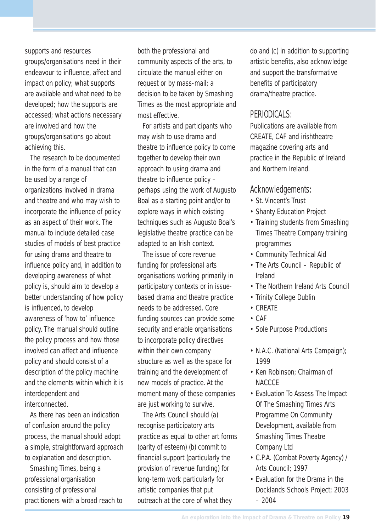supports and resources groups/organisations need in their endeavour to influence, affect and impact on policy; what supports are available and what need to be developed; how the supports are accessed; what actions necessary are involved and how the groups/organisations go about achieving this.

The research to be documented in the form of a manual that can be used by a range of organizations involved in drama and theatre and who may wish to incorporate the influence of policy as an aspect of their work. The manual to include detailed case studies of models of best practice for using drama and theatre to influence policy and, in addition to developing awareness of what policy is, should aim to develop a better understanding of how policy is influenced, to develop awareness of 'how to' influence policy. The manual should outline the policy process and how those involved can affect and influence policy and should consist of a description of the policy machine and the elements within which it is interdependent and interconnected.

As there has been an indication of confusion around the policy process, the manual should adopt a simple, straightforward approach to explanation and description.

Smashing Times, being a professional organisation consisting of professional practitioners with a broad reach to both the professional and community aspects of the arts, to circulate the manual either on request or by mass-mail; a decision to be taken by Smashing Times as the most appropriate and most effective.

For artists and participants who may wish to use drama and theatre to influence policy to come together to develop their own approach to using drama and theatre to influence policy – perhaps using the work of Augusto Boal as a starting point and/or to explore ways in which existing techniques such as Augusto Boal's legislative theatre practice can be adapted to an Irish context.

The issue of core revenue funding for professional arts organisations working primarily in participatory contexts or in issuebased drama and theatre practice needs to be addressed. Core funding sources can provide some security and enable organisations to incorporate policy directives within their own company structure as well as the space for training and the development of new models of practice. At the moment many of these companies are just working to survive.

The Arts Council should (a) recognise participatory arts practice as equal to other art forms (parity of esteem) (b) commit to financial support (particularly the provision of revenue funding) for long-term work particularly for artistic companies that put outreach at the core of what they

do and (c) in addition to supporting artistic benefits, also acknowledge and support the transformative benefits of participatory drama/theatre practice.

#### PERIODICALS:

Publications are available from CREATE, CAF and irishtheatre magazine covering arts and practice in the Republic of Ireland and Northern Ireland.

#### Acknowledgements:

- St. Vincent's Trust
- Shanty Education Project
- Training students from Smashing Times Theatre Company training programmes
- Community Technical Aid
- The Arts Council Republic of Ireland
- The Northern Ireland Arts Council
- Trinity College Dublin
- CREATE
- CAF
- Sole Purpose Productions
- N.A.C. (National Arts Campaign); 1999
- Ken Robinson; Chairman of **NACCCE**
- Evaluation To Assess The Impact Of The Smashing Times Arts Programme On Community Development, available from Smashing Times Theatre Company Ltd
- C.P.A. (Combat Poverty Agency) / Arts Council; 1997
- Evaluation for the Drama in the Docklands Schools Project; 2003 – 2004